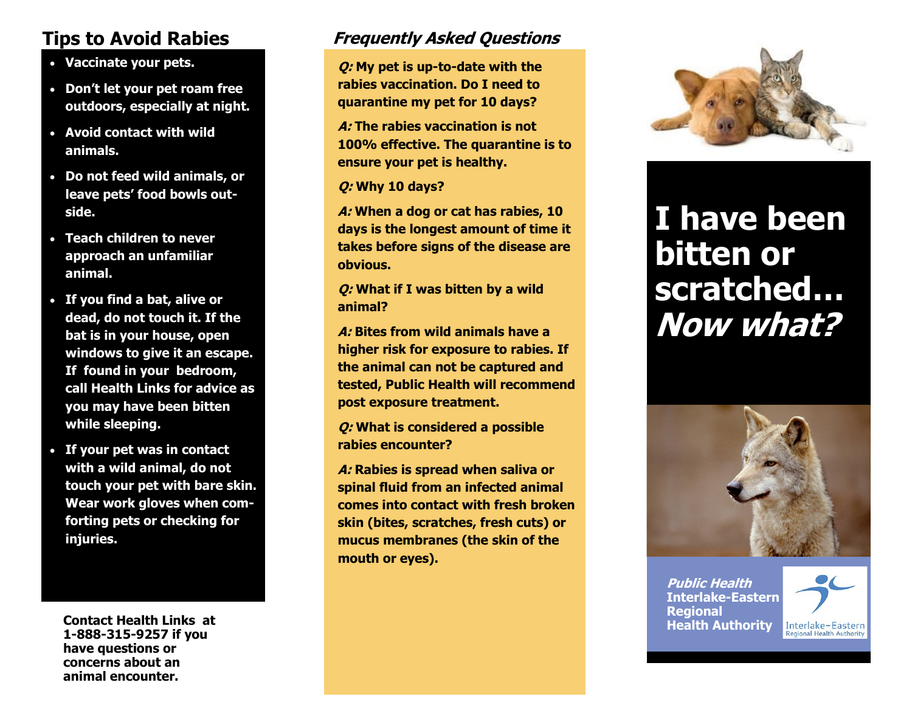# **Tips to Avoid Rabies**

- **Vaccinate your pets.**
- **Don't let your pet roam free outdoors, especially at night.**
- **Avoid contact with wild animals.**
- **Do not feed wild animals, or leave pets' food bowls outside.**
- **Teach children to never approach an unfamiliar animal.**
- **If you find a bat, alive or dead, do not touch it. If the bat is in your house, open windows to give it an escape. If found in your bedroom, call Health Links for advice as you may have been bitten while sleeping.**
- **If your pet was in contact with a wild animal, do not touch your pet with bare skin. Wear work gloves when comforting pets or checking for injuries.**

**Health Authority Contact Health Links at 1-888-315-9257 if you have questions or concerns about an animal encounter.** 

# **Frequently Asked Questions**

**Q: My pet is up-to-date with the rabies vaccination. Do I need to quarantine my pet for 10 days?** 

**A: The rabies vaccination is not 100% effective. The quarantine is to ensure your pet is healthy.**

**Q: Why 10 days?**

**A: When a dog or cat has rabies, 10 days is the longest amount of time it takes before signs of the disease are obvious.**

**Q: What if I was bitten by a wild animal?**

**A: Bites from wild animals have a higher risk for exposure to rabies. If the animal can not be captured and tested, Public Health will recommend post exposure treatment.**

**Q: What is considered a possible rabies encounter?**

**A: Rabies is spread when saliva or spinal fluid from an infected animal comes into contact with fresh broken skin (bites, scratches, fresh cuts) or mucus membranes (the skin of the mouth or eyes).** 



# **I have been bitten or scratched… Now what?**



**Public Health Interlake-Eastern Regional**